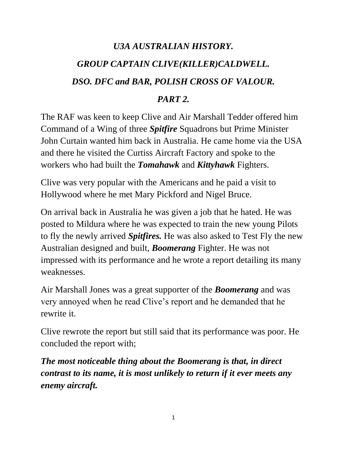# *U3A AUSTRALIAN HISTORY. GROUP CAPTAIN CLIVE(KILLER)CALDWELL. DSO. DFC and BAR, POLISH CROSS OF VALOUR.*

#### *PART 2.*

The RAF was keen to keep Clive and Air Marshall Tedder offered him Command of a Wing of three *Spitfire* Squadrons but Prime Minister John Curtain wanted him back in Australia. He came home via the USA and there he visited the Curtiss Aircraft Factory and spoke to the workers who had built the *Tomahawk* and *Kittyhawk* Fighters.

Clive was very popular with the Americans and he paid a visit to Hollywood where he met Mary Pickford and Nigel Bruce.

On arrival back in Australia he was given a job that he hated. He was posted to Mildura where he was expected to train the new young Pilots to fly the newly arrived *Spitfires.* He was also asked to Test Fly the new Australian designed and built, *Boomerang* Fighter. He was not impressed with its performance and he wrote a report detailing its many weaknesses.

Air Marshall Jones was a great supporter of the *Boomerang* and was very annoyed when he read Clive's report and he demanded that he rewrite it.

Clive rewrote the report but still said that its performance was poor. He concluded the report with;

*The most noticeable thing about the Boomerang is that, in direct contrast to its name, it is most unlikely to return if it ever meets any enemy aircraft.*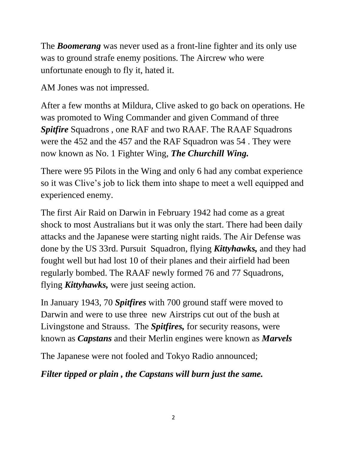The *Boomerang* was never used as a front-line fighter and its only use was to ground strafe enemy positions. The Aircrew who were unfortunate enough to fly it, hated it.

AM Jones was not impressed.

After a few months at Mildura, Clive asked to go back on operations. He was promoted to Wing Commander and given Command of three *Spitfire* Squadrons , one RAF and two RAAF. The RAAF Squadrons were the 452 and the 457 and the RAF Squadron was 54 . They were now known as No. 1 Fighter Wing, *The Churchill Wing.*

There were 95 Pilots in the Wing and only 6 had any combat experience so it was Clive's job to lick them into shape to meet a well equipped and experienced enemy.

The first Air Raid on Darwin in February 1942 had come as a great shock to most Australians but it was only the start. There had been daily attacks and the Japanese were starting night raids. The Air Defense was done by the US 33rd. Pursuit Squadron, flying *Kittyhawks,* and they had fought well but had lost 10 of their planes and their airfield had been regularly bombed. The RAAF newly formed 76 and 77 Squadrons, flying *Kittyhawks,* were just seeing action.

In January 1943, 70 *Spitfires* with 700 ground staff were moved to Darwin and were to use three new Airstrips cut out of the bush at Livingstone and Strauss. The *Spitfires,* for security reasons, were known as *Capstans* and their Merlin engines were known as *Marvels* 

The Japanese were not fooled and Tokyo Radio announced;

*Filter tipped or plain , the Capstans will burn just the same.*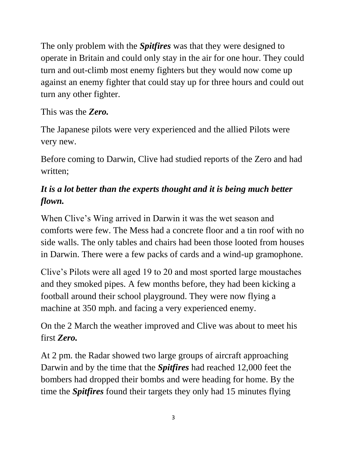The only problem with the *Spitfires* was that they were designed to operate in Britain and could only stay in the air for one hour. They could turn and out-climb most enemy fighters but they would now come up against an enemy fighter that could stay up for three hours and could out turn any other fighter.

## This was the *Zero.*

The Japanese pilots were very experienced and the allied Pilots were very new.

Before coming to Darwin, Clive had studied reports of the Zero and had written;

# *It is a lot better than the experts thought and it is being much better flown.*

When Clive's Wing arrived in Darwin it was the wet season and comforts were few. The Mess had a concrete floor and a tin roof with no side walls. The only tables and chairs had been those looted from houses in Darwin. There were a few packs of cards and a wind-up gramophone.

Clive's Pilots were all aged 19 to 20 and most sported large moustaches and they smoked pipes. A few months before, they had been kicking a football around their school playground. They were now flying a machine at 350 mph. and facing a very experienced enemy.

On the 2 March the weather improved and Clive was about to meet his first *Zero.*

At 2 pm. the Radar showed two large groups of aircraft approaching Darwin and by the time that the *Spitfires* had reached 12,000 feet the bombers had dropped their bombs and were heading for home. By the time the *Spitfires* found their targets they only had 15 minutes flying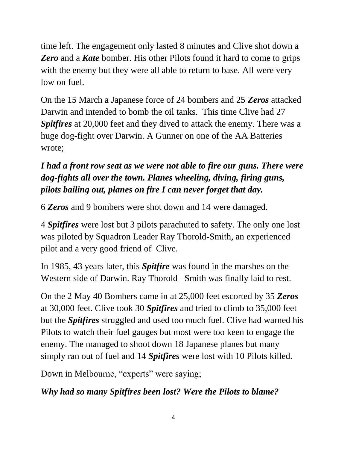time left. The engagement only lasted 8 minutes and Clive shot down a *Zero* and a *Kate* bomber. His other Pilots found it hard to come to grips with the enemy but they were all able to return to base. All were very low on fuel.

On the 15 March a Japanese force of 24 bombers and 25 *Zeros* attacked Darwin and intended to bomb the oil tanks. This time Clive had 27 *Spitfires* at 20,000 feet and they dived to attack the enemy. There was a huge dog-fight over Darwin. A Gunner on one of the AA Batteries wrote;

# *I had a front row seat as we were not able to fire our guns. There were dog-fights all over the town. Planes wheeling, diving, firing guns, pilots bailing out, planes on fire I can never forget that day.*

6 *Zeros* and 9 bombers were shot down and 14 were damaged.

4 *Spitfires* were lost but 3 pilots parachuted to safety. The only one lost was piloted by Squadron Leader Ray Thorold-Smith, an experienced pilot and a very good friend of Clive.

In 1985, 43 years later, this *Spitfire* was found in the marshes on the Western side of Darwin. Ray Thorold –Smith was finally laid to rest.

On the 2 May 40 Bombers came in at 25,000 feet escorted by 35 *Zeros*  at 30,000 feet. Clive took 30 *Spitfires* and tried to climb to 35,000 feet but the *Spitfires* struggled and used too much fuel. Clive had warned his Pilots to watch their fuel gauges but most were too keen to engage the enemy. The managed to shoot down 18 Japanese planes but many simply ran out of fuel and 14 *Spitfires* were lost with 10 Pilots killed.

Down in Melbourne, "experts" were saying;

*Why had so many Spitfires been lost? Were the Pilots to blame?*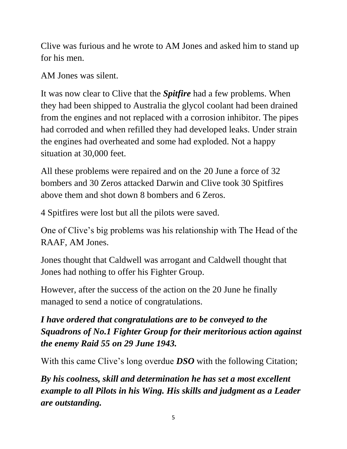Clive was furious and he wrote to AM Jones and asked him to stand up for his men.

AM Jones was silent.

It was now clear to Clive that the *Spitfire* had a few problems. When they had been shipped to Australia the glycol coolant had been drained from the engines and not replaced with a corrosion inhibitor. The pipes had corroded and when refilled they had developed leaks. Under strain the engines had overheated and some had exploded. Not a happy situation at 30,000 feet.

All these problems were repaired and on the 20 June a force of 32 bombers and 30 Zeros attacked Darwin and Clive took 30 Spitfires above them and shot down 8 bombers and 6 Zeros.

4 Spitfires were lost but all the pilots were saved.

One of Clive's big problems was his relationship with The Head of the RAAF, AM Jones.

Jones thought that Caldwell was arrogant and Caldwell thought that Jones had nothing to offer his Fighter Group.

However, after the success of the action on the 20 June he finally managed to send a notice of congratulations.

# *I have ordered that congratulations are to be conveyed to the Squadrons of No.1 Fighter Group for their meritorious action against the enemy Raid 55 on 29 June 1943.*

With this came Clive's long overdue *DSO* with the following Citation;

*By his coolness, skill and determination he has set a most excellent example to all Pilots in his Wing. His skills and judgment as a Leader are outstanding.*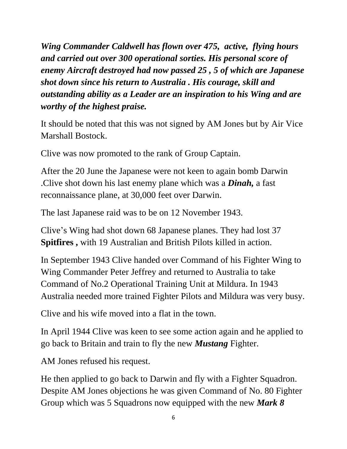*Wing Commander Caldwell has flown over 475, active, flying hours and carried out over 300 operational sorties. His personal score of enemy Aircraft destroyed had now passed 25 , 5 of which are Japanese shot down since his return to Australia . His courage, skill and outstanding ability as a Leader are an inspiration to his Wing and are worthy of the highest praise.* 

It should be noted that this was not signed by AM Jones but by Air Vice Marshall Bostock.

Clive was now promoted to the rank of Group Captain.

After the 20 June the Japanese were not keen to again bomb Darwin .Clive shot down his last enemy plane which was a *Dinah,* a fast reconnaissance plane, at 30,000 feet over Darwin.

The last Japanese raid was to be on 12 November 1943.

Clive's Wing had shot down 68 Japanese planes. They had lost 37 **Spitfires ,** with 19 Australian and British Pilots killed in action.

In September 1943 Clive handed over Command of his Fighter Wing to Wing Commander Peter Jeffrey and returned to Australia to take Command of No.2 Operational Training Unit at Mildura. In 1943 Australia needed more trained Fighter Pilots and Mildura was very busy.

Clive and his wife moved into a flat in the town.

In April 1944 Clive was keen to see some action again and he applied to go back to Britain and train to fly the new *Mustang* Fighter.

AM Jones refused his request.

He then applied to go back to Darwin and fly with a Fighter Squadron. Despite AM Jones objections he was given Command of No. 80 Fighter Group which was 5 Squadrons now equipped with the new *Mark 8*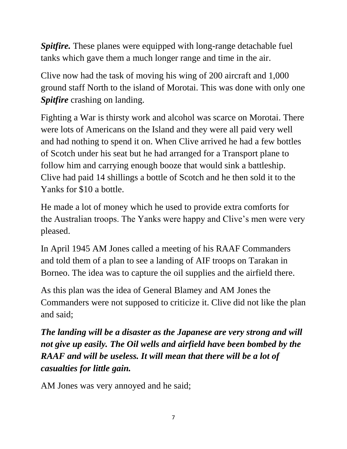*Spitfire.* These planes were equipped with long-range detachable fuel tanks which gave them a much longer range and time in the air.

Clive now had the task of moving his wing of 200 aircraft and 1,000 ground staff North to the island of Morotai. This was done with only one *Spitfire* crashing on landing.

Fighting a War is thirsty work and alcohol was scarce on Morotai. There were lots of Americans on the Island and they were all paid very well and had nothing to spend it on. When Clive arrived he had a few bottles of Scotch under his seat but he had arranged for a Transport plane to follow him and carrying enough booze that would sink a battleship. Clive had paid 14 shillings a bottle of Scotch and he then sold it to the Yanks for \$10 a bottle.

He made a lot of money which he used to provide extra comforts for the Australian troops. The Yanks were happy and Clive's men were very pleased.

In April 1945 AM Jones called a meeting of his RAAF Commanders and told them of a plan to see a landing of AIF troops on Tarakan in Borneo. The idea was to capture the oil supplies and the airfield there.

As this plan was the idea of General Blamey and AM Jones the Commanders were not supposed to criticize it. Clive did not like the plan and said;

*The landing will be a disaster as the Japanese are very strong and will not give up easily. The Oil wells and airfield have been bombed by the RAAF and will be useless. It will mean that there will be a lot of casualties for little gain.* 

AM Jones was very annoyed and he said;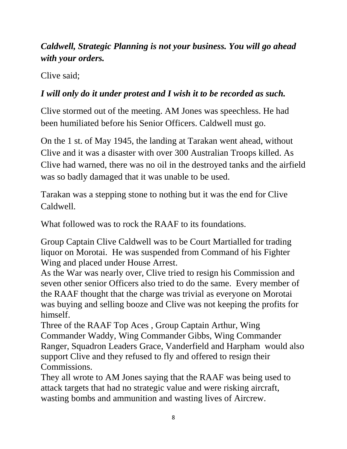# *Caldwell, Strategic Planning is not your business. You will go ahead with your orders.*

Clive said;

## *I will only do it under protest and I wish it to be recorded as such.*

Clive stormed out of the meeting. AM Jones was speechless. He had been humiliated before his Senior Officers. Caldwell must go.

On the 1 st. of May 1945, the landing at Tarakan went ahead, without Clive and it was a disaster with over 300 Australian Troops killed. As Clive had warned, there was no oil in the destroyed tanks and the airfield was so badly damaged that it was unable to be used.

Tarakan was a stepping stone to nothing but it was the end for Clive Caldwell.

What followed was to rock the RAAF to its foundations.

Group Captain Clive Caldwell was to be Court Martialled for trading liquor on Morotai. He was suspended from Command of his Fighter Wing and placed under House Arrest.

As the War was nearly over, Clive tried to resign his Commission and seven other senior Officers also tried to do the same. Every member of the RAAF thought that the charge was trivial as everyone on Morotai was buying and selling booze and Clive was not keeping the profits for himself.

Three of the RAAF Top Aces , Group Captain Arthur, Wing Commander Waddy, Wing Commander Gibbs, Wing Commander Ranger, Squadron Leaders Grace, Vanderfield and Harpham would also support Clive and they refused to fly and offered to resign their Commissions.

They all wrote to AM Jones saying that the RAAF was being used to attack targets that had no strategic value and were risking aircraft, wasting bombs and ammunition and wasting lives of Aircrew.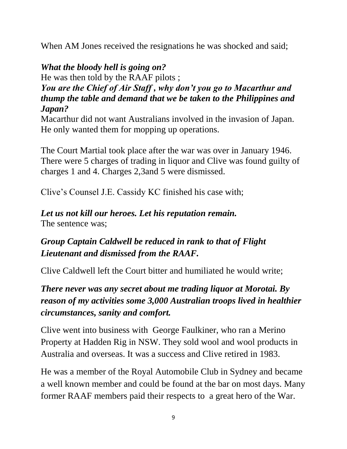When AM Jones received the resignations he was shocked and said;

# *What the bloody hell is going on?*

He was then told by the RAAF pilots ;

#### *You are the Chief of Air Staff , why don't you go to Macarthur and thump the table and demand that we be taken to the Philippines and Japan?*

Macarthur did not want Australians involved in the invasion of Japan. He only wanted them for mopping up operations.

The Court Martial took place after the war was over in January 1946. There were 5 charges of trading in liquor and Clive was found guilty of charges 1 and 4. Charges 2,3and 5 were dismissed.

Clive's Counsel J.E. Cassidy KC finished his case with;

#### *Let us not kill our heroes. Let his reputation remain.*  The sentence was;

# *Group Captain Caldwell be reduced in rank to that of Flight Lieutenant and dismissed from the RAAF.*

Clive Caldwell left the Court bitter and humiliated he would write;

# *There never was any secret about me trading liquor at Morotai. By reason of my activities some 3,000 Australian troops lived in healthier circumstances, sanity and comfort.*

Clive went into business with George Faulkiner, who ran a Merino Property at Hadden Rig in NSW. They sold wool and wool products in Australia and overseas. It was a success and Clive retired in 1983.

He was a member of the Royal Automobile Club in Sydney and became a well known member and could be found at the bar on most days. Many former RAAF members paid their respects to a great hero of the War.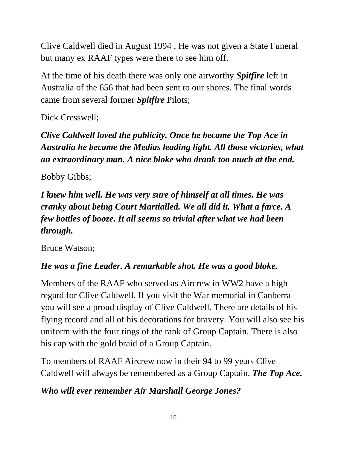Clive Caldwell died in August 1994 . He was not given a State Funeral but many ex RAAF types were there to see him off.

At the time of his death there was only one airworthy *Spitfire* left in Australia of the 656 that had been sent to our shores. The final words came from several former *Spitfire* Pilots;

Dick Cresswell;

*Clive Caldwell loved the publicity. Once he became the Top Ace in Australia he became the Medias leading light. All those victories, what an extraordinary man. A nice bloke who drank too much at the end.* 

Bobby Gibbs;

*I knew him well. He was very sure of himself at all times. He was cranky about being Court Martialled. We all did it. What a farce. A few bottles of booze. It all seems so trivial after what we had been through.*

Bruce Watson;

# *He was a fine Leader. A remarkable shot. He was a good bloke.*

Members of the RAAF who served as Aircrew in WW2 have a high regard for Clive Caldwell. If you visit the War memorial in Canberra you will see a proud display of Clive Caldwell. There are details of his flying record and all of his decorations for bravery. You will also see his uniform with the four rings of the rank of Group Captain. There is also his cap with the gold braid of a Group Captain.

To members of RAAF Aircrew now in their 94 to 99 years Clive Caldwell will always be remembered as a Group Captain. *The Top Ace.* 

# *Who will ever remember Air Marshall George Jones?*